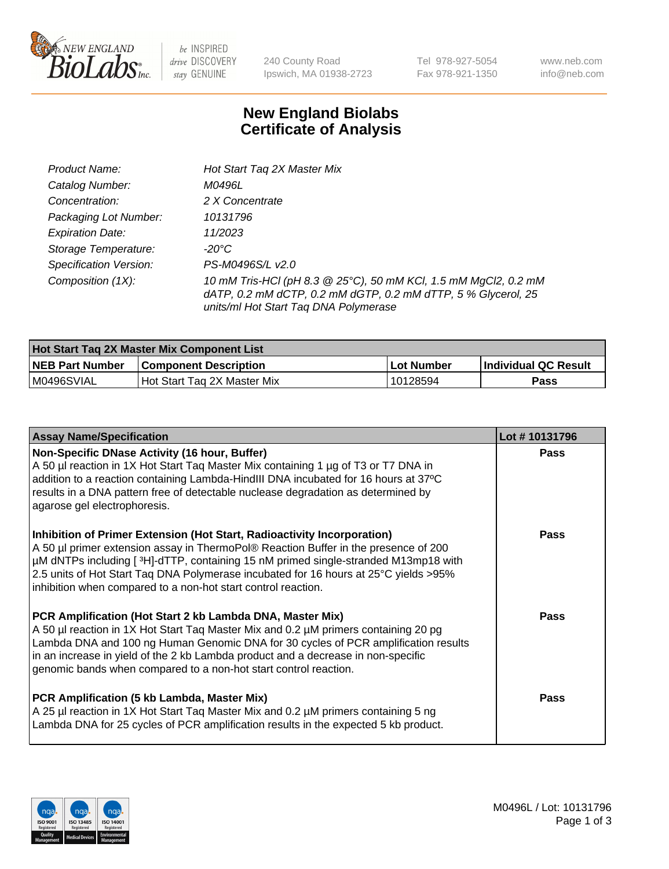

 $be$  INSPIRED drive DISCOVERY stay GENUINE

240 County Road Ipswich, MA 01938-2723 Tel 978-927-5054 Fax 978-921-1350 www.neb.com info@neb.com

## **New England Biolabs Certificate of Analysis**

| Product Name:           | Hot Start Tag 2X Master Mix                                                                                                                                               |
|-------------------------|---------------------------------------------------------------------------------------------------------------------------------------------------------------------------|
| Catalog Number:         | M0496L                                                                                                                                                                    |
| Concentration:          | 2 X Concentrate                                                                                                                                                           |
| Packaging Lot Number:   | 10131796                                                                                                                                                                  |
| <b>Expiration Date:</b> | 11/2023                                                                                                                                                                   |
| Storage Temperature:    | -20°C                                                                                                                                                                     |
| Specification Version:  | PS-M0496S/L v2.0                                                                                                                                                          |
| Composition (1X):       | 10 mM Tris-HCl (pH 8.3 @ 25°C), 50 mM KCl, 1.5 mM MgCl2, 0.2 mM<br>dATP, 0.2 mM dCTP, 0.2 mM dGTP, 0.2 mM dTTP, 5 % Glycerol, 25<br>units/ml Hot Start Taq DNA Polymerase |

| <b>Hot Start Tag 2X Master Mix Component List</b> |                               |            |                      |  |  |
|---------------------------------------------------|-------------------------------|------------|----------------------|--|--|
| <b>NEB Part Number</b>                            | <b>Component Description</b>  | Lot Number | Individual QC Result |  |  |
| M0496SVIAL                                        | l Hot Start Tag 2X Master Mix | 10128594   | Pass                 |  |  |

| <b>Assay Name/Specification</b>                                                                                                                                                                                                                                                                                                                                                                                | Lot #10131796 |
|----------------------------------------------------------------------------------------------------------------------------------------------------------------------------------------------------------------------------------------------------------------------------------------------------------------------------------------------------------------------------------------------------------------|---------------|
| Non-Specific DNase Activity (16 hour, Buffer)<br>A 50 µl reaction in 1X Hot Start Tag Master Mix containing 1 µg of T3 or T7 DNA in<br>addition to a reaction containing Lambda-HindIII DNA incubated for 16 hours at 37°C<br>results in a DNA pattern free of detectable nuclease degradation as determined by<br>agarose gel electrophoresis.                                                                | <b>Pass</b>   |
| Inhibition of Primer Extension (Hot Start, Radioactivity Incorporation)<br>A 50 µl primer extension assay in ThermoPol® Reaction Buffer in the presence of 200<br>µM dNTPs including [3H]-dTTP, containing 15 nM primed single-stranded M13mp18 with<br>2.5 units of Hot Start Taq DNA Polymerase incubated for 16 hours at 25°C yields > 95%<br>inhibition when compared to a non-hot start control reaction. | <b>Pass</b>   |
| PCR Amplification (Hot Start 2 kb Lambda DNA, Master Mix)<br>A 50 µl reaction in 1X Hot Start Tag Master Mix and 0.2 µM primers containing 20 pg<br>Lambda DNA and 100 ng Human Genomic DNA for 30 cycles of PCR amplification results<br>in an increase in yield of the 2 kb Lambda product and a decrease in non-specific<br>genomic bands when compared to a non-hot start control reaction.                | Pass          |
| PCR Amplification (5 kb Lambda, Master Mix)<br>A 25 µl reaction in 1X Hot Start Tag Master Mix and 0.2 µM primers containing 5 ng<br>Lambda DNA for 25 cycles of PCR amplification results in the expected 5 kb product.                                                                                                                                                                                       | <b>Pass</b>   |

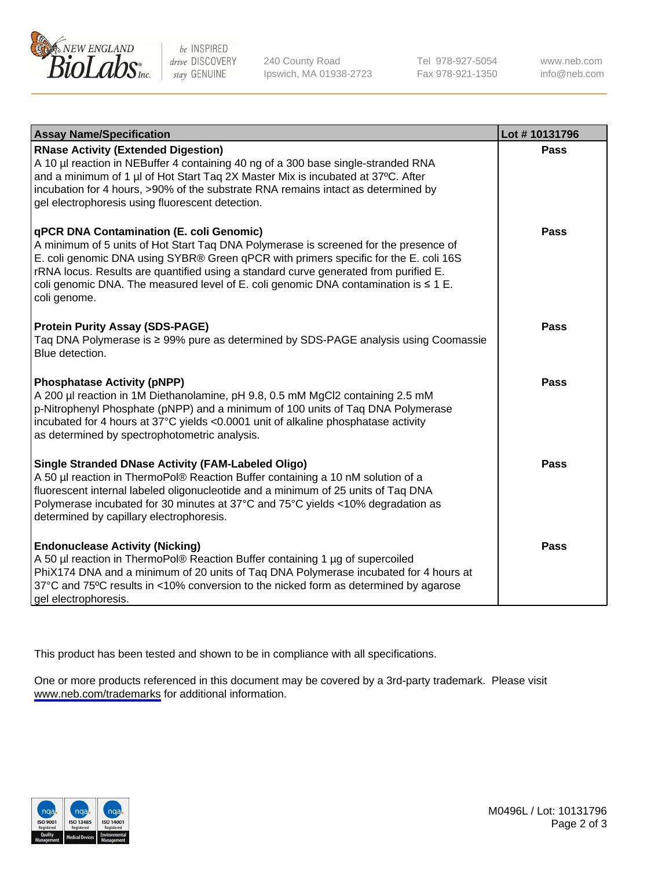

be INSPIRED drive DISCOVERY stay GENUINE

240 County Road Ipswich, MA 01938-2723 Tel 978-927-5054 Fax 978-921-1350

www.neb.com info@neb.com

| <b>Assay Name/Specification</b>                                                                                                                                                                                                                                                                                                                                                                                              | Lot #10131796 |
|------------------------------------------------------------------------------------------------------------------------------------------------------------------------------------------------------------------------------------------------------------------------------------------------------------------------------------------------------------------------------------------------------------------------------|---------------|
| <b>RNase Activity (Extended Digestion)</b><br>A 10 µl reaction in NEBuffer 4 containing 40 ng of a 300 base single-stranded RNA<br>and a minimum of 1 µl of Hot Start Taq 2X Master Mix is incubated at 37°C. After<br>incubation for 4 hours, >90% of the substrate RNA remains intact as determined by<br>gel electrophoresis using fluorescent detection.                                                                 | Pass          |
| qPCR DNA Contamination (E. coli Genomic)<br>A minimum of 5 units of Hot Start Taq DNA Polymerase is screened for the presence of<br>E. coli genomic DNA using SYBR® Green qPCR with primers specific for the E. coli 16S<br>rRNA locus. Results are quantified using a standard curve generated from purified E.<br>coli genomic DNA. The measured level of E. coli genomic DNA contamination is $\leq 1$ E.<br>coli genome. | Pass          |
| <b>Protein Purity Assay (SDS-PAGE)</b><br>Taq DNA Polymerase is ≥ 99% pure as determined by SDS-PAGE analysis using Coomassie<br>Blue detection.                                                                                                                                                                                                                                                                             | Pass          |
| <b>Phosphatase Activity (pNPP)</b><br>A 200 µl reaction in 1M Diethanolamine, pH 9.8, 0.5 mM MgCl2 containing 2.5 mM<br>p-Nitrophenyl Phosphate (pNPP) and a minimum of 100 units of Taq DNA Polymerase<br>incubated for 4 hours at 37°C yields <0.0001 unit of alkaline phosphatase activity<br>as determined by spectrophotometric analysis.                                                                               | Pass          |
| <b>Single Stranded DNase Activity (FAM-Labeled Oligo)</b><br>A 50 µl reaction in ThermoPol® Reaction Buffer containing a 10 nM solution of a<br>fluorescent internal labeled oligonucleotide and a minimum of 25 units of Taq DNA<br>Polymerase incubated for 30 minutes at 37°C and 75°C yields <10% degradation as<br>determined by capillary electrophoresis.                                                             | <b>Pass</b>   |
| <b>Endonuclease Activity (Nicking)</b><br>A 50 µl reaction in ThermoPol® Reaction Buffer containing 1 µg of supercoiled<br>PhiX174 DNA and a minimum of 20 units of Taq DNA Polymerase incubated for 4 hours at<br>37°C and 75°C results in <10% conversion to the nicked form as determined by agarose<br>gel electrophoresis.                                                                                              | Pass          |

This product has been tested and shown to be in compliance with all specifications.

One or more products referenced in this document may be covered by a 3rd-party trademark. Please visit <www.neb.com/trademarks>for additional information.